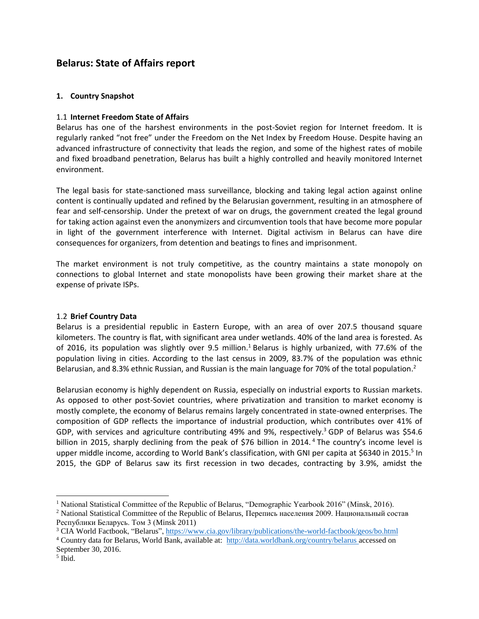# **Belarus: State of Affairs report**

# **1. Country Snapshot**

# 1.1 **Internet Freedom State of Affairs**

Belarus has one of the harshest environments in the post-Soviet region for Internet freedom. It is regularly ranked "not free" under the Freedom on the Net Index by Freedom House. Despite having an advanced infrastructure of connectivity that leads the region, and some of the highest rates of mobile and fixed broadband penetration, Belarus has built a highly controlled and heavily monitored Internet environment.

The legal basis for state-sanctioned mass surveillance, blocking and taking legal action against online content is continually updated and refined by the Belarusian government, resulting in an atmosphere of fear and self-censorship. Under the pretext of war on drugs, the government created the legal ground for taking action against even the anonymizers and circumvention tools that have become more popular in light of the government interference with Internet. Digital activism in Belarus can have dire consequences for organizers, from detention and beatings to fines and imprisonment.

The market environment is not truly competitive, as the country maintains a state monopoly on connections to global Internet and state monopolists have been growing their market share at the expense of private ISPs.

### 1.2 **Brief Country Data**

Belarus is a presidential republic in Eastern Europe, with an area of over 207.5 thousand square kilometers. The country is flat, with significant area under wetlands. 40% of the land area is forested. As of 2016, its population was slightly over 9.5 million.<sup>1</sup> Belarus is highly urbanized, with 77.6% of the population living in cities. According to the last census in 2009, 83.7% of the population was ethnic Belarusian, and 8.3% ethnic Russian, and Russian is the main language for 70% of the total population.<sup>2</sup>

Belarusian economy is highly dependent on Russia, especially on industrial exports to Russian markets. As opposed to other post-Soviet countries, where privatization and transition to market economy is mostly complete, the economy of Belarus remains largely concentrated in state-owned enterprises. The composition of GDP reflects the importance of industrial production, which contributes over 41% of GDP, with services and agriculture contributing 49% and 9%, respectively.<sup>3</sup> GDP of Belarus was \$54.6 billion in 2015, sharply declining from the peak of \$76 billion in 2014.<sup>4</sup> The country's income level is upper middle income, according to World Bank's classification, with GNI per capita at \$6340 in 2015.<sup>5</sup> In 2015, the GDP of Belarus saw its first recession in two decades, contracting by 3.9%, amidst the

<sup>&</sup>lt;sup>1</sup> National Statistical Committee of the Republic of Belarus, "Demographic Yearbook 2016" (Minsk, 2016).

<sup>&</sup>lt;sup>2</sup> National Statistical Committee of the Republic of Belarus, Перепись населения 2009. Национальный состав Республики Беларусь. Том 3 (Minsk 2011)

<sup>&</sup>lt;sup>3</sup> CIA World Factbook, "Belarus",<https://www.cia.gov/library/publications/the-world-factbook/geos/bo.html>

<sup>4</sup> Country data for Belarus, World Bank, available at: http://data.worldbank.org/country/belarus accessed on September 30, 2016.

<sup>5</sup> Ibid.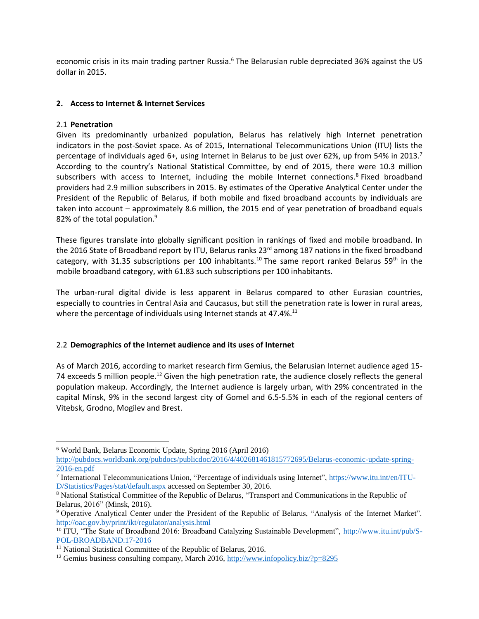economic crisis in its main trading partner Russia.<sup>6</sup> The Belarusian ruble depreciated 36% against the US dollar in 2015.

# **2. Access to Internet & Internet Services**

### 2.1 **Penetration**

 $\overline{a}$ 

Given its predominantly urbanized population, Belarus has relatively high Internet penetration indicators in the post-Soviet space. As of 2015, International Telecommunications Union (ITU) lists the percentage of individuals aged 6+, using Internet in Belarus to be just over 62%, up from 54% in 2013.<sup>7</sup> According to the country's National Statistical Committee, by end of 2015, there were 10.3 million subscribers with access to Internet, including the mobile Internet connections.<sup>8</sup> Fixed broadband providers had 2.9 million subscribers in 2015. By estimates of the Operative Analytical Center under the President of the Republic of Belarus, if both mobile and fixed broadband accounts by individuals are taken into account – approximately 8.6 million, the 2015 end of year penetration of broadband equals 82% of the total population.<sup>9</sup>

These figures translate into globally significant position in rankings of fixed and mobile broadband. In the 2016 State of Broadband report by ITU, Belarus ranks 23<sup>rd</sup> among 187 nations in the fixed broadband category, with 31.35 subscriptions per 100 inhabitants.<sup>10</sup> The same report ranked Belarus 59<sup>th</sup> in the mobile broadband category, with 61.83 such subscriptions per 100 inhabitants.

The urban-rural digital divide is less apparent in Belarus compared to other Eurasian countries, especially to countries in Central Asia and Caucasus, but still the penetration rate is lower in rural areas, where the percentage of individuals using Internet stands at 47.4%. $^{11}$ 

### 2.2 **Demographics of the Internet audience and its uses of Internet**

As of March 2016, according to market research firm Gemius, the Belarusian Internet audience aged 15- 74 exceeds 5 million people.<sup>12</sup> Given the high penetration rate, the audience closely reflects the general population makeup. Accordingly, the Internet audience is largely urban, with 29% concentrated in the capital Minsk, 9% in the second largest city of Gomel and 6.5-5.5% in each of the regional centers of Vitebsk, Grodno, Mogilev and Brest.

<sup>6</sup> World Bank, Belarus Economic Update, Spring 2016 (April 2016)

[http://pubdocs.worldbank.org/pubdocs/publicdoc/2016/4/402681461815772695/Belarus-economic-update-spring-](http://pubdocs.worldbank.org/pubdocs/publicdoc/2016/4/402681461815772695/Belarus-economic-update-spring-2016-en.pdf)[2016-en.pdf](http://pubdocs.worldbank.org/pubdocs/publicdoc/2016/4/402681461815772695/Belarus-economic-update-spring-2016-en.pdf)

<sup>&</sup>lt;sup>7</sup> International Telecommunications Union, "Percentage of individuals using Internet", [https://www.itu.int/en/ITU-](https://www.itu.int/en/ITU-D/Statistics/Pages/stat/default.aspx)[D/Statistics/Pages/stat/default.aspx](https://www.itu.int/en/ITU-D/Statistics/Pages/stat/default.aspx) accessed on September 30, 2016.

<sup>&</sup>lt;sup>8</sup> National Statistical Committee of the Republic of Belarus, "Transport and Communications in the Republic of Belarus, 2016" (Minsk, 2016).

<sup>9</sup> Operative Analytical Center under the President of the Republic of Belarus, "Analysis of the Internet Market". <http://oac.gov.by/print/ikt/regulator/analysis.html>

<sup>&</sup>lt;sup>10</sup> ITU, "The State of Broadband 2016: Broadband Catalyzing Sustainable Development", [http://www.itu.int/pub/S-](http://www.itu.int/pub/S-POL-BROADBAND.17-2016)[POL-BROADBAND.17-2016](http://www.itu.int/pub/S-POL-BROADBAND.17-2016) 

 $\frac{11}{11}$  National Statistical Committee of the Republic of Belarus, 2016.

<sup>&</sup>lt;sup>12</sup> Gemius business consulting company, March 2016,<http://www.infopolicy.biz/?p=8295>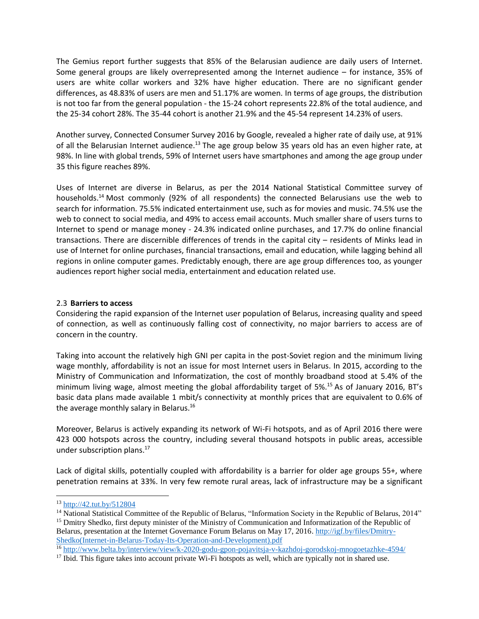The Gemius report further suggests that 85% of the Belarusian audience are daily users of Internet. Some general groups are likely overrepresented among the Internet audience – for instance, 35% of users are white collar workers and 32% have higher education. There are no significant gender differences, as 48.83% of users are men and 51.17% are women. In terms of age groups, the distribution is not too far from the general population - the 15-24 cohort represents 22.8% of the total audience, and the 25-34 cohort 28%. The 35-44 cohort is another 21.9% and the 45-54 represent 14.23% of users.

Another survey, Connected Consumer Survey 2016 by Google, revealed a higher rate of daily use, at 91% of all the Belarusian Internet audience.<sup>13</sup> The age group below 35 years old has an even higher rate, at 98%. In line with global trends, 59% of Internet users have smartphones and among the age group under 35 this figure reaches 89%.

Uses of Internet are diverse in Belarus, as per the 2014 National Statistical Committee survey of households.<sup>14</sup> Most commonly (92% of all respondents) the connected Belarusians use the web to search for information. 75.5% indicated entertainment use, such as for movies and music. 74.5% use the web to connect to social media, and 49% to access email accounts. Much smaller share of users turns to Internet to spend or manage money - 24.3% indicated online purchases, and 17.7% do online financial transactions. There are discernible differences of trends in the capital city – residents of Minks lead in use of Internet for online purchases, financial transactions, email and education, while lagging behind all regions in online computer games. Predictably enough, there are age group differences too, as younger audiences report higher social media, entertainment and education related use.

### 2.3 **Barriers to access**

Considering the rapid expansion of the Internet user population of Belarus, increasing quality and speed of connection, as well as continuously falling cost of connectivity, no major barriers to access are of concern in the country.

Taking into account the relatively high GNI per capita in the post-Soviet region and the minimum living wage monthly, affordability is not an issue for most Internet users in Belarus. In 2015, according to the Ministry of Communication and Informatization, the cost of monthly broadband stood at 5.4% of the minimum living wage, almost meeting the global affordability target of 5%.<sup>15</sup> As of January 2016, BT's basic data plans made available 1 mbit/s connectivity at monthly prices that are equivalent to 0.6% of the average monthly salary in Belarus.<sup>16</sup>

Moreover, Belarus is actively expanding its network of Wi-Fi hotspots, and as of April 2016 there were 423 000 hotspots across the country, including several thousand hotspots in public areas, accessible under subscription plans. 17

Lack of digital skills, potentially coupled with affordability is a barrier for older age groups 55+, where penetration remains at 33%. In very few remote rural areas, lack of infrastructure may be a significant

<sup>13</sup> <http://42.tut.by/512804>

<sup>&</sup>lt;sup>14</sup> National Statistical Committee of the Republic of Belarus, "Information Society in the Republic of Belarus, 2014" <sup>15</sup> Dmitry Shedko, first deputy minister of the Ministry of Communication and Informatization of the Republic of Belarus, presentation at the Internet Governance Forum Belarus on May 17, 2016[. http://igf.by/files/Dmitry-](http://igf.by/files/Dmitry-Shedko(Internet-in-Belarus-Today-Its-Operation-and-Development).pdf)[Shedko\(Internet-in-Belarus-Today-Its-Operation-and-Development\).pdf](http://igf.by/files/Dmitry-Shedko(Internet-in-Belarus-Today-Its-Operation-and-Development).pdf) 

<sup>16</sup> <http://www.belta.by/interview/view/k-2020-godu-gpon-pojavitsja-v-kazhdoj-gorodskoj-mnogoetazhke-4594/>

<sup>&</sup>lt;sup>17</sup> Ibid. This figure takes into account private Wi-Fi hotspots as well, which are typically not in shared use.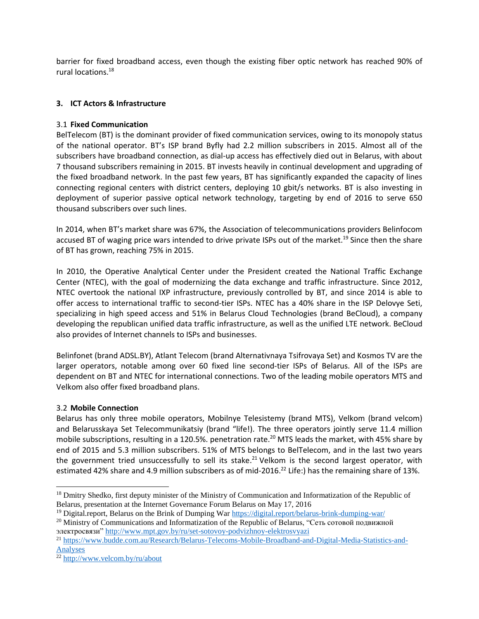barrier for fixed broadband access, even though the existing fiber optic network has reached 90% of rural locations.<sup>18</sup>

# **3. ICT Actors & Infrastructure**

### 3.1 **Fixed Communication**

BelTelecom (BT) is the dominant provider of fixed communication services, owing to its monopoly status of the national operator. BT's ISP brand Byfly had 2.2 million subscribers in 2015. Almost all of the subscribers have broadband connection, as dial-up access has effectively died out in Belarus, with about 7 thousand subscribers remaining in 2015. BT invests heavily in continual development and upgrading of the fixed broadband network. In the past few years, BT has significantly expanded the capacity of lines connecting regional centers with district centers, deploying 10 gbit/s networks. BT is also investing in deployment of superior passive optical network technology, targeting by end of 2016 to serve 650 thousand subscribers over such lines.

In 2014, when BT's market share was 67%, the Association of telecommunications providers Belinfocom accused BT of waging price wars intended to drive private ISPs out of the market.<sup>19</sup> Since then the share of BT has grown, reaching 75% in 2015.

In 2010, the Operative Analytical Center under the President created the National Traffic Exchange Center (NTEC), with the goal of modernizing the data exchange and traffic infrastructure. Since 2012, NTEC overtook the national IXP infrastructure, previously controlled by BT, and since 2014 is able to offer access to international traffic to second-tier ISPs. NTEC has a 40% share in the ISP Delovye Seti, specializing in high speed access and 51% in Belarus Cloud Technologies (brand BeCloud), a company developing the republican unified data traffic infrastructure, as well as the unified LTE network. BeCloud also provides of Internet channels to ISPs and businesses.

Belinfonet (brand ADSL.BY), Atlant Telecom (brand Alternativnaya Tsifrovaya Set) and Kosmos TV are the larger operators, notable among over 60 fixed line second-tier ISPs of Belarus. All of the ISPs are dependent on BT and NTEC for international connections. Two of the leading mobile operators MTS and Velkom also offer fixed broadband plans.

### 3.2 **Mobile Connection**

Belarus has only three mobile operators, Mobilnye Telesistemy (brand MTS), Velkom (brand velcom) and Belarusskaya Set Telecommunikatsiy (brand "life!). The three operators jointly serve 11.4 million mobile subscriptions, resulting in a 120.5%, penetration rate.<sup>20</sup> MTS leads the market, with 45% share by end of 2015 and 5.3 million subscribers. 51% of MTS belongs to BelTelecom, and in the last two years the government tried unsuccessfully to sell its stake.<sup>21</sup> Velkom is the second largest operator, with estimated 42% share and 4.9 million subscribers as of mid-2016.<sup>22</sup> Life:) has the remaining share of 13%.

l <sup>18</sup> Dmitry Shedko, first deputy minister of the Ministry of Communication and Informatization of the Republic of Belarus, presentation at the Internet Governance Forum Belarus on May 17, 2016

<sup>&</sup>lt;sup>19</sup> Digital.report, Belarus on the Brink of Dumping War<https://digital.report/belarus-brink-dumping-war/>

 $^{20}$  Ministry of Communications and Informatization of the Republic of Belarus, "Сеть сотовой подвижной электросвязи"<http://www.mpt.gov.by/ru/set-sotovoy-podvizhnoy-elektrosvyazi>

<sup>21</sup> [https://www.budde.com.au/Research/Belarus-Telecoms-Mobile-Broadband-and-Digital-Media-Statistics-and-](https://www.budde.com.au/Research/Belarus-Telecoms-Mobile-Broadband-and-Digital-Media-Statistics-and-Analyses)[Analyses](https://www.budde.com.au/Research/Belarus-Telecoms-Mobile-Broadband-and-Digital-Media-Statistics-and-Analyses)

<sup>22</sup> <http://www.velcom.by/ru/about>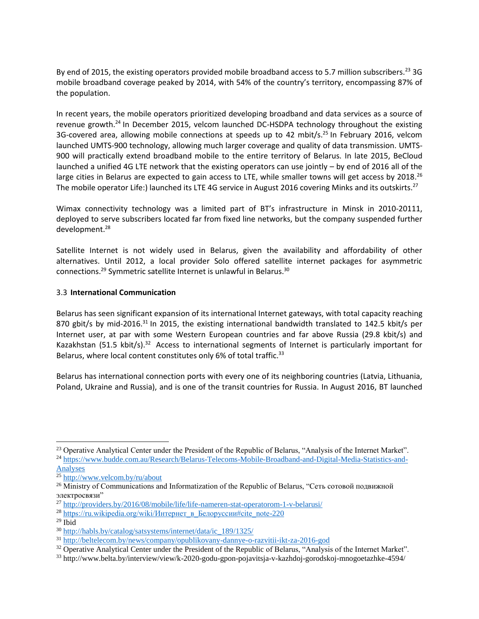By end of 2015, the existing operators provided mobile broadband access to 5.7 million subscribers.<sup>23</sup> 3G mobile broadband coverage peaked by 2014, with 54% of the country's territory, encompassing 87% of the population.

In recent years, the mobile operators prioritized developing broadband and data services as a source of revenue growth.<sup>24</sup> In December 2015, velcom launched DC-HSDPA technology throughout the existing 3G-covered area, allowing mobile connections at speeds up to 42 mbit/s.<sup>25</sup> In February 2016, velcom launched UMTS-900 technology, allowing much larger coverage and quality of data transmission. UMTS-900 will practically extend broadband mobile to the entire territory of Belarus. In late 2015, BeCloud launched a unified 4G LTE network that the existing operators can use jointly – by end of 2016 all of the large cities in Belarus are expected to gain access to LTE, while smaller towns will get access by 2018.<sup>26</sup> The mobile operator Life:) launched its LTE 4G service in August 2016 covering Minks and its outskirts.<sup>27</sup>

Wimax connectivity technology was a limited part of BT's infrastructure in Minsk in 2010-20111, deployed to serve subscribers located far from fixed line networks, but the company suspended further development.<sup>28</sup>

Satellite Internet is not widely used in Belarus, given the availability and affordability of other alternatives. Until 2012, a local provider Solo offered satellite internet packages for asymmetric connections.<sup>29</sup> Symmetric satellite Internet is unlawful in Belarus.<sup>30</sup>

### 3.3 **International Communication**

Belarus has seen significant expansion of its international Internet gateways, with total capacity reaching 870 gbit/s by mid-2016.<sup>31</sup> In 2015, the existing international bandwidth translated to 142.5 kbit/s per Internet user, at par with some Western European countries and far above Russia (29.8 kbit/s) and Kazakhstan (51.5 kbit/s).<sup>32</sup> Access to international segments of Internet is particularly important for Belarus, where local content constitutes only 6% of total traffic.<sup>33</sup>

Belarus has international connection ports with every one of its neighboring countries (Latvia, Lithuania, Poland, Ukraine and Russia), and is one of the transit countries for Russia. In August 2016, BT launched

 $\overline{a}$ 

 $29$  Ibid

<sup>&</sup>lt;sup>23</sup> Operative Analytical Center under the President of the Republic of Belarus, "Analysis of the Internet Market". <sup>24</sup> [https://www.budde.com.au/Research/Belarus-Telecoms-Mobile-Broadband-and-Digital-Media-Statistics-and-](https://www.budde.com.au/Research/Belarus-Telecoms-Mobile-Broadband-and-Digital-Media-Statistics-and-Analyses)

[Analyses](https://www.budde.com.au/Research/Belarus-Telecoms-Mobile-Broadband-and-Digital-Media-Statistics-and-Analyses)

 $\frac{25 \text{ http://www.velcom.by/ru/about}}{25 \text{ http://www.velcom.by/ru/about}}$  $\frac{25 \text{ http://www.velcom.by/ru/about}}{25 \text{ http://www.velcom.by/ru/about}}$  $\frac{25 \text{ http://www.velcom.by/ru/about}}{25 \text{ http://www.velcom.by/ru/about}}$ 

<sup>&</sup>lt;sup>26</sup> Ministry of Communications and Informatization of the Republic of Belarus, "Сеть сотовой подвижной электросвязи"

<sup>27</sup> <http://providers.by/2016/08/mobile/life/life-nameren-stat-operatorom-1-v-belarusi/>

<sup>&</sup>lt;sup>28</sup> https://ru.wikipedia.org/wiki/Интернет в Белоруссии#cite\_note-220

<sup>30</sup> [http://habls.by/catalog/satsystems/internet/data/ic\\_189/1325/](http://habls.by/catalog/satsystems/internet/data/ic_189/1325/)

<sup>31</sup> <http://beltelecom.by/news/company/opublikovany-dannye-o-razvitii-ikt-za-2016-god>

<sup>&</sup>lt;sup>32</sup> Operative Analytical Center under the President of the Republic of Belarus, "Analysis of the Internet Market".

<sup>33</sup> http://www.belta.by/interview/view/k-2020-godu-gpon-pojavitsja-v-kazhdoj-gorodskoj-mnogoetazhke-4594/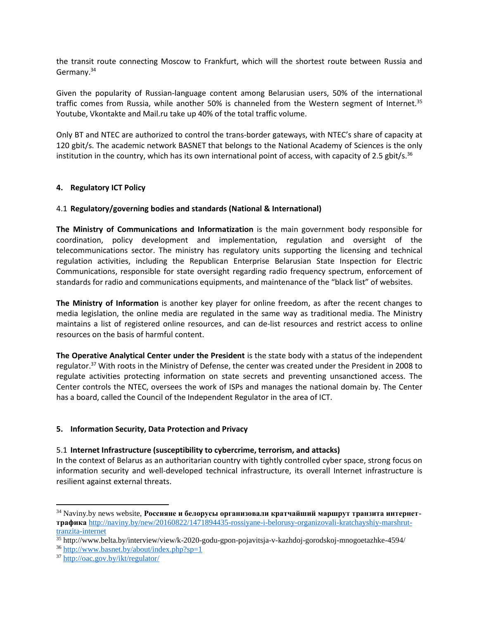the transit route connecting Moscow to Frankfurt, which will the shortest route between Russia and Germany.<sup>34</sup>

Given the popularity of Russian-language content among Belarusian users, 50% of the international traffic comes from Russia, while another 50% is channeled from the Western segment of Internet.<sup>35</sup> Youtube, Vkontakte and Mail.ru take up 40% of the total traffic volume.

Only BT and NTEC are authorized to control the trans-border gateways, with NTEC's share of capacity at 120 gbit/s. The academic network BASNET that belongs to the National Academy of Sciences is the only institution in the country, which has its own international point of access, with capacity of 2.5 gbit/s.<sup>36</sup>

### **4. Regulatory ICT Policy**

#### 4.1 **Regulatory/governing bodies and standards (National & International)**

**The Ministry of Communications and Informatization** is the main government body responsible for coordination, policy development and implementation, regulation and oversight of the telecommunications sector. The ministry has regulatory units supporting the licensing and technical regulation activities, including the Republican Enterprise Belarusian State Inspection for Electric Communications, responsible for state oversight regarding radio frequency spectrum, enforcement of standards for radio and communications equipments, and maintenance of the "black list" of websites.

**The Ministry of Information** is another key player for online freedom, as after the recent changes to media legislation, the online media are regulated in the same way as traditional media. The Ministry maintains a list of registered online resources, and can de-list resources and restrict access to online resources on the basis of harmful content.

**The Operative Analytical Center under the President** is the state body with a status of the independent regulator.<sup>37</sup> With roots in the Ministry of Defense, the center was created under the President in 2008 to regulate activities protecting information on state secrets and preventing unsanctioned access. The Center controls the NTEC, oversees the work of ISPs and manages the national domain by. The Center has a board, called the Council of the Independent Regulator in the area of ICT.

### **5. Information Security, Data Protection and Privacy**

#### 5.1 **Internet Infrastructure (susceptibility to cybercrime, terrorism, and attacks)**

In the context of Belarus as an authoritarian country with tightly controlled cyber space, strong focus on information security and well-developed technical infrastructure, its overall Internet infrastructure is resilient against external threats.

<sup>34</sup> Naviny.by news website, **Россияне и белорусы организовали кратчайший маршрут транзита интернеттрафика** [http://naviny.by/new/20160822/1471894435-rossiyane-i-belorusy-organizovali-kratchayshiy-marshrut](http://naviny.by/new/20160822/1471894435-rossiyane-i-belorusy-organizovali-kratchayshiy-marshrut-tranzita-internet)[tranzita-internet](http://naviny.by/new/20160822/1471894435-rossiyane-i-belorusy-organizovali-kratchayshiy-marshrut-tranzita-internet)

<sup>35</sup> http://www.belta.by/interview/view/k-2020-godu-gpon-pojavitsja-v-kazhdoj-gorodskoj-mnogoetazhke-4594/

<sup>36</sup> <http://www.basnet.by/about/index.php?sp=1>

<sup>37</sup> <http://oac.gov.by/ikt/regulator/>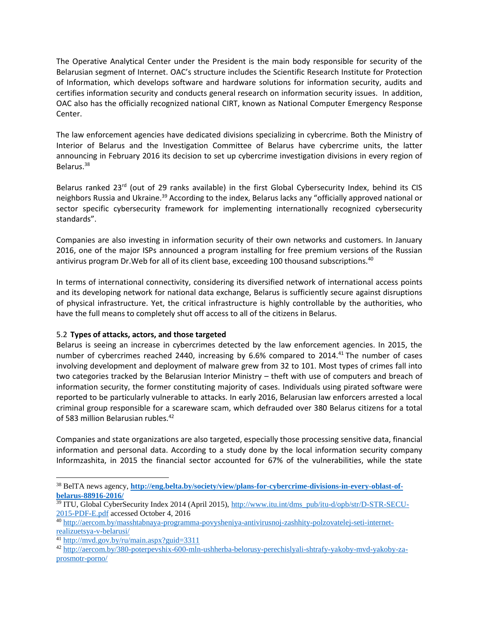The Operative Analytical Center under the President is the main body responsible for security of the Belarusian segment of Internet. OAC's structure includes the Scientific Research Institute for Protection of Information, which develops software and hardware solutions for information security, audits and certifies information security and conducts general research on information security issues. In addition, OAC also has the officially recognized national CIRT, known as National Computer Emergency Response Center.

The law enforcement agencies have dedicated divisions specializing in cybercrime. Both the Ministry of Interior of Belarus and the Investigation Committee of Belarus have cybercrime units, the latter announcing in February 2016 its decision to set up cybercrime investigation divisions in every region of Belarus.<sup>38</sup>

Belarus ranked 23rd (out of 29 ranks available) in the first Global Cybersecurity Index, behind its CIS neighbors Russia and Ukraine.<sup>39</sup> According to the index, Belarus lacks any "officially approved national or sector specific cybersecurity framework for implementing internationally recognized cybersecurity standards".

Companies are also investing in information security of their own networks and customers. In January 2016, one of the major ISPs announced a program installing for free premium versions of the Russian antivirus program Dr. Web for all of its client base, exceeding 100 thousand subscriptions.<sup>40</sup>

In terms of international connectivity, considering its diversified network of international access points and its developing network for national data exchange, Belarus is sufficiently secure against disruptions of physical infrastructure. Yet, the critical infrastructure is highly controllable by the authorities, who have the full means to completely shut off access to all of the citizens in Belarus.

### 5.2 **Types of attacks, actors, and those targeted**

Belarus is seeing an increase in cybercrimes detected by the law enforcement agencies. In 2015, the number of cybercrimes reached 2440, increasing by 6.6% compared to 2014.<sup>41</sup> The number of cases involving development and deployment of malware grew from 32 to 101. Most types of crimes fall into two categories tracked by the Belarusian Interior Ministry – theft with use of computers and breach of information security, the former constituting majority of cases. Individuals using pirated software were reported to be particularly vulnerable to attacks. In early 2016, Belarusian law enforcers arrested a local criminal group responsible for a scareware scam, which defrauded over 380 Belarus citizens for a total of 583 million Belarusian rubles.<sup>42</sup>

Companies and state organizations are also targeted, especially those processing sensitive data, financial information and personal data. According to a study done by the local information security company Informzashita, in 2015 the financial sector accounted for 67% of the vulnerabilities, while the state

<sup>41</sup> <http://mvd.gov.by/ru/main.aspx?guid=3311>

<sup>38</sup> BelTA news agency, **[http://eng.belta.by/society/view/plans-for-cybercrime-divisions-in-every-oblast-of](http://eng.belta.by/society/view/plans-for-cybercrime-divisions-in-every-oblast-of-belarus-88916-2016/)[belarus-88916-2016/](http://eng.belta.by/society/view/plans-for-cybercrime-divisions-in-every-oblast-of-belarus-88916-2016/)**

<sup>&</sup>lt;sup>39</sup> ITU, Global CyberSecurity Index 2014 (April 2015), [http://www.itu.int/dms\\_pub/itu-d/opb/str/D-STR-SECU-](http://www.itu.int/dms_pub/itu-d/opb/str/D-STR-SECU-2015-PDF-E.pdf)[2015-PDF-E.pdf](http://www.itu.int/dms_pub/itu-d/opb/str/D-STR-SECU-2015-PDF-E.pdf) accessed October 4, 2016

<sup>40</sup> [http://aercom.by/masshtabnaya-programma-povysheniya-antivirusnoj-zashhity-polzovatelej-seti-internet](http://aercom.by/masshtabnaya-programma-povysheniya-antivirusnoj-zashhity-polzovatelej-seti-internet-realizuetsya-v-belarusi/)[realizuetsya-v-belarusi/](http://aercom.by/masshtabnaya-programma-povysheniya-antivirusnoj-zashhity-polzovatelej-seti-internet-realizuetsya-v-belarusi/)

<sup>42</sup> [http://aercom.by/380-poterpevshix-600-mln-ushherba-belorusy-perechislyali-shtrafy-yakoby-mvd-yakoby-za](http://aercom.by/380-poterpevshix-600-mln-ushherba-belorusy-perechislyali-shtrafy-yakoby-mvd-yakoby-za-prosmotr-porno/)[prosmotr-porno/](http://aercom.by/380-poterpevshix-600-mln-ushherba-belorusy-perechislyali-shtrafy-yakoby-mvd-yakoby-za-prosmotr-porno/)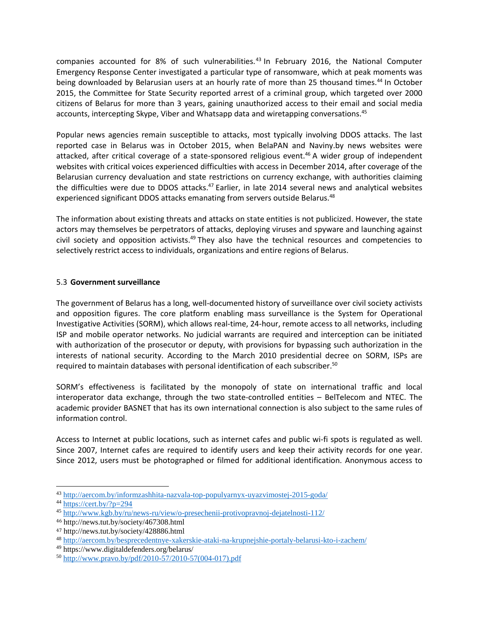companies accounted for 8% of such vulnerabilities.<sup>43</sup> In February 2016, the National Computer Emergency Response Center investigated a particular type of ransomware, which at peak moments was being downloaded by Belarusian users at an hourly rate of more than 25 thousand times.<sup>44</sup> In October 2015, the Committee for State Security reported arrest of a criminal group, which targeted over 2000 citizens of Belarus for more than 3 years, gaining unauthorized access to their email and social media accounts, intercepting Skype, Viber and Whatsapp data and wiretapping conversations.<sup>45</sup>

Popular news agencies remain susceptible to attacks, most typically involving DDOS attacks. The last reported case in Belarus was in October 2015, when BelaPAN and Naviny.by news websites were attacked, after critical coverage of a state-sponsored religious event.<sup>46</sup> A wider group of independent websites with critical voices experienced difficulties with access in December 2014, after coverage of the Belarusian currency devaluation and state restrictions on currency exchange, with authorities claiming the difficulties were due to DDOS attacks.<sup>47</sup> Earlier, in late 2014 several news and analytical websites experienced significant DDOS attacks emanating from servers outside Belarus.<sup>48</sup>

The information about existing threats and attacks on state entities is not publicized. However, the state actors may themselves be perpetrators of attacks, deploying viruses and spyware and launching against civil society and opposition activists. $49$  They also have the technical resources and competencies to selectively restrict access to individuals, organizations and entire regions of Belarus.

# 5.3 **Government surveillance**

The government of Belarus has a long, well-documented history of surveillance over civil society activists and opposition figures. The core platform enabling mass surveillance is the System for Operational Investigative Activities (SORM), which allows real-time, 24-hour, remote access to all networks, including ISP and mobile operator networks. No judicial warrants are required and interception can be initiated with authorization of the prosecutor or deputy, with provisions for bypassing such authorization in the interests of national security. According to the March 2010 presidential decree on SORM, ISPs are required to maintain databases with personal identification of each subscriber. 50

SORM's effectiveness is facilitated by the monopoly of state on international traffic and local interoperator data exchange, through the two state-controlled entities – BelTelecom and NTEC. The academic provider BASNET that has its own international connection is also subject to the same rules of information control.

Access to Internet at public locations, such as internet cafes and public wi-fi spots is regulated as well. Since 2007, Internet cafes are required to identify users and keep their activity records for one year. Since 2012, users must be photographed or filmed for additional identification. Anonymous access to

<sup>43</sup> <http://aercom.by/informzashhita-nazvala-top-populyarnyx-uyazvimostej-2015-goda/>

 $44 \overline{\text{https://cert.by/?p=294}}$  $44 \overline{\text{https://cert.by/?p=294}}$  $44 \overline{\text{https://cert.by/?p=294}}$ 

<sup>45</sup> <http://www.kgb.by/ru/news-ru/view/o-presechenii-protivopravnoj-dejatelnosti-112/>

<sup>46</sup> http://news.tut.by/society/467308.html

<sup>47</sup> <http://news.tut.by/society/428886.html>

<sup>48</sup> <http://aercom.by/besprecedentnye-xakerskie-ataki-na-krupnejshie-portaly-belarusi-kto-i-zachem/>

<sup>49</sup> https://www.digitaldefenders.org/belarus/

<sup>50</sup> [http://www.pravo.by/pdf/2010-57/2010-57\(004-017\).pdf](http://www.pravo.by/pdf/2010-57/2010-57(004-017).pdf)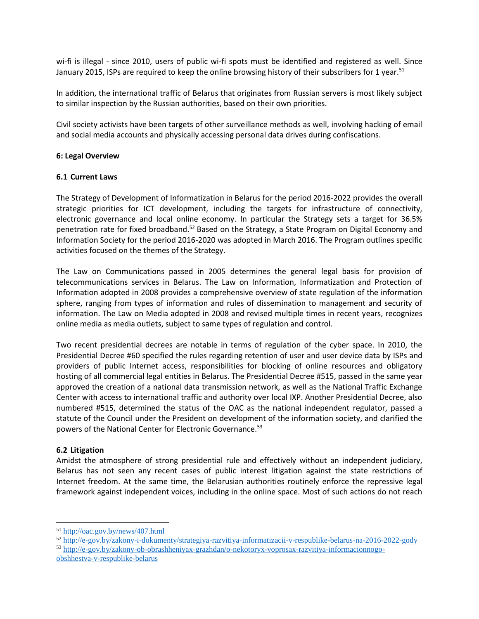wi-fi is illegal - since 2010, users of public wi-fi spots must be identified and registered as well. Since January 2015, ISPs are required to keep the online browsing history of their subscribers for 1 year.<sup>51</sup>

In addition, the international traffic of Belarus that originates from Russian servers is most likely subject to similar inspection by the Russian authorities, based on their own priorities.

Civil society activists have been targets of other surveillance methods as well, involving hacking of email and social media accounts and physically accessing personal data drives during confiscations.

#### **6: Legal Overview**

#### **6.1 Current Laws**

The Strategy of Development of Informatization in Belarus for the period 2016-2022 provides the overall strategic priorities for ICT development, including the targets for infrastructure of connectivity, electronic governance and local online economy. In particular the Strategy sets a target for 36.5% penetration rate for fixed broadband.<sup>52</sup> Based on the Strategy, a State Program on Digital Economy and Information Society for the period 2016-2020 was adopted in March 2016. The Program outlines specific activities focused on the themes of the Strategy.

The Law on Communications passed in 2005 determines the general legal basis for provision of telecommunications services in Belarus. The Law on Information, Informatization and Protection of Information adopted in 2008 provides a comprehensive overview of state regulation of the information sphere, ranging from types of information and rules of dissemination to management and security of information. The Law on Media adopted in 2008 and revised multiple times in recent years, recognizes online media as media outlets, subject to same types of regulation and control.

Two recent presidential decrees are notable in terms of regulation of the cyber space. In 2010, the Presidential Decree #60 specified the rules regarding retention of user and user device data by ISPs and providers of public Internet access, responsibilities for blocking of online resources and obligatory hosting of all commercial legal entities in Belarus. The Presidential Decree #515, passed in the same year approved the creation of a national data transmission network, as well as the National Traffic Exchange Center with access to international traffic and authority over local IXP. Another Presidential Decree, also numbered #515, determined the status of the OAC as the national independent regulator, passed a statute of the Council under the President on development of the information society, and clarified the powers of the National Center for Electronic Governance.<sup>53</sup>

### **6.2 Litigation**

 $\overline{a}$ 

Amidst the atmosphere of strong presidential rule and effectively without an independent judiciary, Belarus has not seen any recent cases of public interest litigation against the state restrictions of Internet freedom. At the same time, the Belarusian authorities routinely enforce the repressive legal framework against independent voices, including in the online space. Most of such actions do not reach

<sup>53</sup> [http://e-gov.by/zakony-ob-obrashheniyax-grazhdan/o-nekotoryx-voprosax-razvitiya-informacionnogo-](http://e-gov.by/zakony-ob-obrashheniyax-grazhdan/o-nekotoryx-voprosax-razvitiya-informacionnogo-obshhestva-v-respublike-belarus)

<sup>51</sup> <http://oac.gov.by/news/407.html>

<sup>52</sup> <http://e-gov.by/zakony-i-dokumenty/strategiya-razvitiya-informatizacii-v-respublike-belarus-na-2016-2022-gody>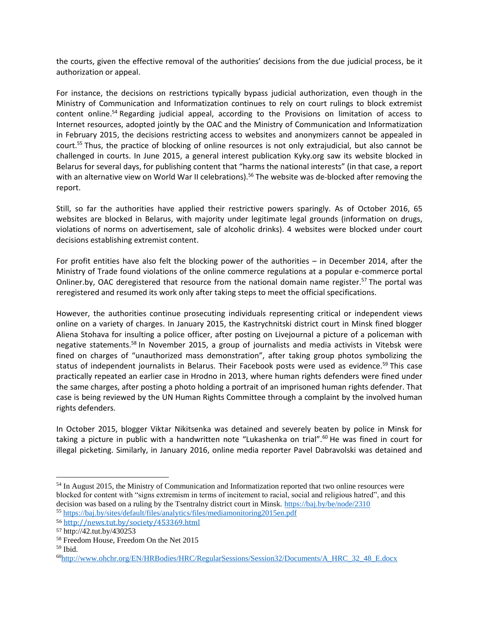the courts, given the effective removal of the authorities' decisions from the due judicial process, be it authorization or appeal.

For instance, the decisions on restrictions typically bypass judicial authorization, even though in the Ministry of Communication and Informatization continues to rely on court rulings to block extremist content online.<sup>54</sup> Regarding judicial appeal, according to the Provisions on limitation of access to Internet resources, adopted jointly by the OAC and the Ministry of Communication and Informatization in February 2015, the decisions restricting access to websites and anonymizers cannot be appealed in court. <sup>55</sup> Thus, the practice of blocking of online resources is not only extrajudicial, but also cannot be challenged in courts. In June 2015, a general interest publication Kyky.org saw its website blocked in Belarus for several days, for publishing content that "harms the national interests" (in that case, a report with an alternative view on World War II celebrations).<sup>56</sup> The website was de-blocked after removing the report.

Still, so far the authorities have applied their restrictive powers sparingly. As of October 2016, 65 websites are blocked in Belarus, with majority under legitimate legal grounds (information on drugs, violations of norms on advertisement, sale of alcoholic drinks). 4 websites were blocked under court decisions establishing extremist content.

For profit entities have also felt the blocking power of the authorities – in December 2014, after the Ministry of Trade found violations of the online commerce regulations at a popular e-commerce portal Onliner.by, OAC deregistered that resource from the national domain name register.<sup>57</sup> The portal was reregistered and resumed its work only after taking steps to meet the official specifications.

However, the authorities continue prosecuting individuals representing critical or independent views online on a variety of charges. In January 2015, the Kastrychnitski district court in Minsk fined blogger Aliena Stohava for insulting a police officer, after posting on Livejournal a picture of a policeman with negative statements.<sup>58</sup> In November 2015, a group of journalists and media activists in Vitebsk were fined on charges of "unauthorized mass demonstration", after taking group photos symbolizing the status of independent journalists in Belarus. Their Facebook posts were used as evidence.<sup>59</sup> This case practically repeated an earlier case in Hrodno in 2013, where human rights defenders were fined under the same charges, after posting a photo holding a portrait of an imprisoned human rights defender. That case is being reviewed by the UN Human Rights Committee through a complaint by the involved human rights defenders.

In October 2015, blogger Viktar Nikitsenka was detained and severely beaten by police in Minsk for taking a picture in public with a handwritten note "Lukashenka on trial".<sup>60</sup> He was fined in court for illegal picketing. Similarly, in January 2016, online media reporter Pavel Dabravolski was detained and

<sup>&</sup>lt;sup>54</sup> In August 2015, the Ministry of Communication and Informatization reported that two online resources were blocked for content with "signs extremism in terms of incitement to racial, social and religious hatred", and this decision was based on a ruling by the Tsentralny district court in Minsk.<https://baj.by/be/node/2310> <sup>55</sup> <https://baj.by/sites/default/files/analytics/files/mediamonitoring2015en.pdf>

<sup>56</sup> <http://news.tut.by/society/453369.html>

<sup>57</sup> http://42.tut.by/430253

<sup>58</sup> Freedom House, Freedom On the Net 2015

 $59$  Ibid.

<sup>60</sup>[http://www.ohchr.org/EN/HRBodies/HRC/RegularSessions/Session32/Documents/A\\_HRC\\_32\\_48\\_E.docx](http://www.ohchr.org/EN/HRBodies/HRC/RegularSessions/Session32/Documents/A_HRC_32_48_E.docx)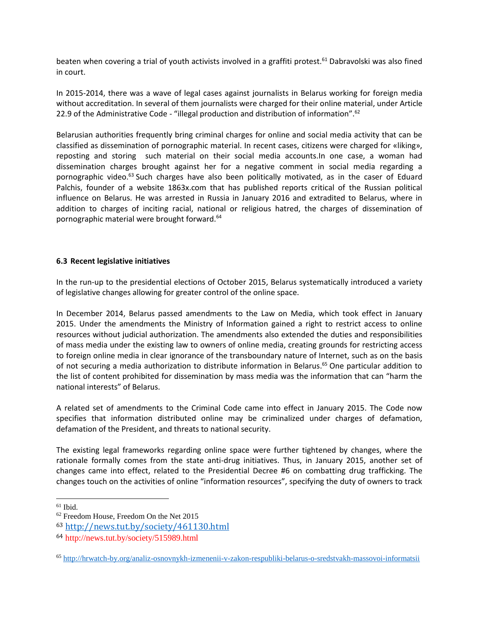beaten when covering a trial of youth activists involved in a graffiti protest.<sup>61</sup> Dabravolski was also fined in court.

In 2015-2014, there was a wave of legal cases against journalists in Belarus working for foreign media without accreditation. In several of them journalists were charged for their online material, under Article 22.9 of the Administrative Code - "illegal production and distribution of information".<sup>62</sup>

Belarusian authorities frequently bring criminal charges for online and social media activity that can be classified as dissemination of pornographic material. In recent cases, citizens were charged for «liking», reposting and storing such material on their social media accounts.In one case, a woman had dissemination charges brought against her for a negative comment in social media regarding a pornographic video.<sup>63</sup> Such charges have also been politically motivated, as in the caser of Eduard Palchis, founder of a website 1863x.com that has published reports critical of the Russian political influence on Belarus. He was arrested in Russia in January 2016 and extradited to Belarus, where in addition to charges of inciting racial, national or religious hatred, the charges of dissemination of pornographic material were brought forward.<sup>64</sup>

### **6.3 Recent legislative initiatives**

In the run-up to the presidential elections of October 2015, Belarus systematically introduced a variety of legislative changes allowing for greater control of the online space.

In December 2014, Belarus passed amendments to the Law on Media, which took effect in January 2015. Under the amendments the Ministry of Information gained a right to restrict access to online resources without judicial authorization. The amendments also extended the duties and responsibilities of mass media under the existing law to owners of online media, creating grounds for restricting access to foreign online media in clear ignorance of the transboundary nature of Internet, such as on the basis of not securing a media authorization to distribute information in Belarus. <sup>65</sup> One particular addition to the list of content prohibited for dissemination by mass media was the information that can "harm the national interests" of Belarus.

A related set of amendments to the Criminal Code came into effect in January 2015. The Code now specifies that information distributed online may be criminalized under charges of defamation, defamation of the President, and threats to national security.

The existing legal frameworks regarding online space were further tightened by changes, where the rationale formally comes from the state anti-drug initiatives. Thus, in January 2015, another set of changes came into effect, related to the Presidential Decree #6 on combatting drug trafficking. The changes touch on the activities of online "information resources", specifying the duty of owners to track

l

 $61$  Ibid.

<sup>62</sup> Freedom House, Freedom On the Net 2015

<sup>63</sup> <http://news.tut.by/society/461130.html>

<sup>64</sup> http://news.tut.by/society/515989.html

<sup>65</sup> <http://hrwatch-by.org/analiz-osnovnykh-izmenenii-v-zakon-respubliki-belarus-o-sredstvakh-massovoi-informatsii>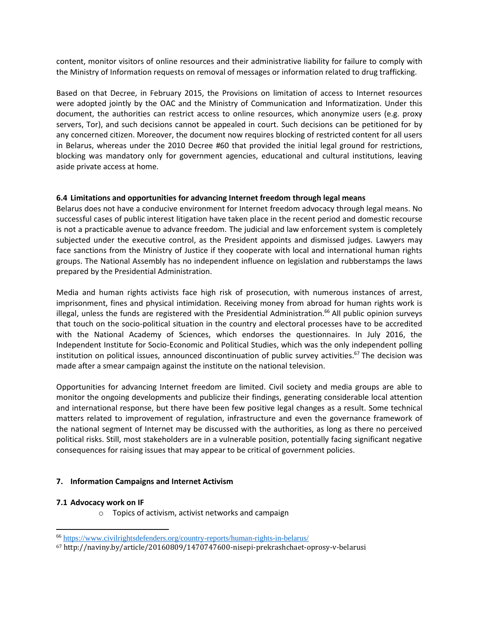content, monitor visitors of online resources and their administrative liability for failure to comply with the Ministry of Information requests on removal of messages or information related to drug trafficking.

Based on that Decree, in February 2015, the Provisions on limitation of access to Internet resources were adopted jointly by the OAC and the Ministry of Communication and Informatization. Under this document, the authorities can restrict access to online resources, which anonymize users (e.g. proxy servers, Tor), and such decisions cannot be appealed in court. Such decisions can be petitioned for by any concerned citizen. Moreover, the document now requires blocking of restricted content for all users in Belarus, whereas under the 2010 Decree #60 that provided the initial legal ground for restrictions, blocking was mandatory only for government agencies, educational and cultural institutions, leaving aside private access at home.

# **6.4 Limitations and opportunities for advancing Internet freedom through legal means**

Belarus does not have a conducive environment for Internet freedom advocacy through legal means. No successful cases of public interest litigation have taken place in the recent period and domestic recourse is not a practicable avenue to advance freedom. The judicial and law enforcement system is completely subjected under the executive control, as the President appoints and dismissed judges. Lawyers may face sanctions from the Ministry of Justice if they cooperate with local and international human rights groups. The National Assembly has no independent influence on legislation and rubberstamps the laws prepared by the Presidential Administration.

Media and human rights activists face high risk of prosecution, with numerous instances of arrest, imprisonment, fines and physical intimidation. Receiving money from abroad for human rights work is illegal, unless the funds are registered with the Presidential Administration. <sup>66</sup> All public opinion surveys that touch on the socio-political situation in the country and electoral processes have to be accredited with the National Academy of Sciences, which endorses the questionnaires. In July 2016, the Independent Institute for Socio-Economic and Political Studies, which was the only independent polling institution on political issues, announced discontinuation of public survey activities.<sup>67</sup> The decision was made after a smear campaign against the institute on the national television.

Opportunities for advancing Internet freedom are limited. Civil society and media groups are able to monitor the ongoing developments and publicize their findings, generating considerable local attention and international response, but there have been few positive legal changes as a result. Some technical matters related to improvement of regulation, infrastructure and even the governance framework of the national segment of Internet may be discussed with the authorities, as long as there no perceived political risks. Still, most stakeholders are in a vulnerable position, potentially facing significant negative consequences for raising issues that may appear to be critical of government policies.

### **7. Information Campaigns and Internet Activism**

### **7.1 Advocacy work on IF**

l

o Topics of activism, activist networks and campaign

<sup>66</sup> <https://www.civilrightsdefenders.org/country-reports/human-rights-in-belarus/>

<sup>67</sup> http://naviny.by/article/20160809/1470747600-nisepi-prekrashchaet-oprosy-v-belarusi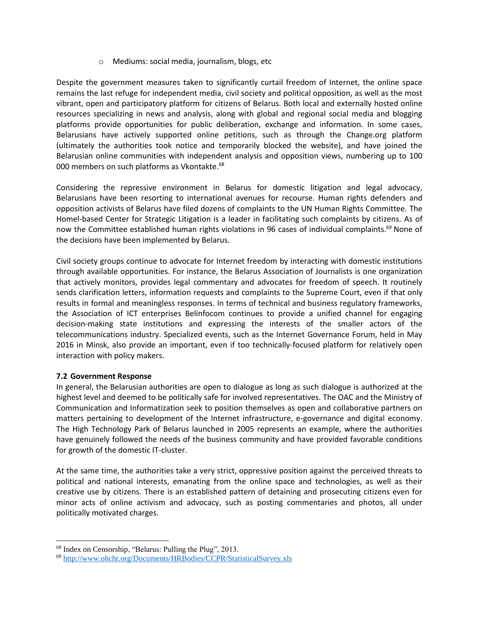### o Mediums: social media, journalism, blogs, etc

Despite the government measures taken to significantly curtail freedom of Internet, the online space remains the last refuge for independent media, civil society and political opposition, as well as the most vibrant, open and participatory platform for citizens of Belarus. Both local and externally hosted online resources specializing in news and analysis, along with global and regional social media and blogging platforms provide opportunities for public deliberation, exchange and information. In some cases, Belarusians have actively supported online petitions, such as through the Change.org platform (ultimately the authorities took notice and temporarily blocked the website), and have joined the Belarusian online communities with independent analysis and opposition views, numbering up to 100 000 members on such platforms as Vkontakte.<sup>68</sup>

Considering the repressive environment in Belarus for domestic litigation and legal advocacy, Belarusians have been resorting to international avenues for recourse. Human rights defenders and opposition activists of Belarus have filed dozens of complaints to the UN Human Rights Committee. The Homel-based Center for Strategic Litigation is a leader in facilitating such complaints by citizens. As of now the Committee established human rights violations in 96 cases of individual complaints.<sup>69</sup> None of the decisions have been implemented by Belarus.

Civil society groups continue to advocate for Internet freedom by interacting with domestic institutions through available opportunities. For instance, the Belarus Association of Journalists is one organization that actively monitors, provides legal commentary and advocates for freedom of speech. It routinely sends clarification letters, information requests and complaints to the Supreme Court, even if that only results in formal and meaningless responses. In terms of technical and business regulatory frameworks, the Association of ICT enterprises Belinfocom continues to provide a unified channel for engaging decision-making state institutions and expressing the interests of the smaller actors of the telecommunications industry. Specialized events, such as the Internet Governance Forum, held in May 2016 in Minsk, also provide an important, even if too technically-focused platform for relatively open interaction with policy makers.

### **7.2 Government Response**

l

In general, the Belarusian authorities are open to dialogue as long as such dialogue is authorized at the highest level and deemed to be politically safe for involved representatives. The OAC and the Ministry of Communication and Informatization seek to position themselves as open and collaborative partners on matters pertaining to development of the Internet infrastructure, e-governance and digital economy. The High Technology Park of Belarus launched in 2005 represents an example, where the authorities have genuinely followed the needs of the business community and have provided favorable conditions for growth of the domestic IT-cluster.

At the same time, the authorities take a very strict, oppressive position against the perceived threats to political and national interests, emanating from the online space and technologies, as well as their creative use by citizens. There is an established pattern of detaining and prosecuting citizens even for minor acts of online activism and advocacy, such as posting commentaries and photos, all under politically motivated charges.

<sup>68</sup> Index on Censorship, "Belarus: Pulling the Plug", 2013.

<sup>69</sup> <http://www.ohchr.org/Documents/HRBodies/CCPR/StatisticalSurvey.xls>